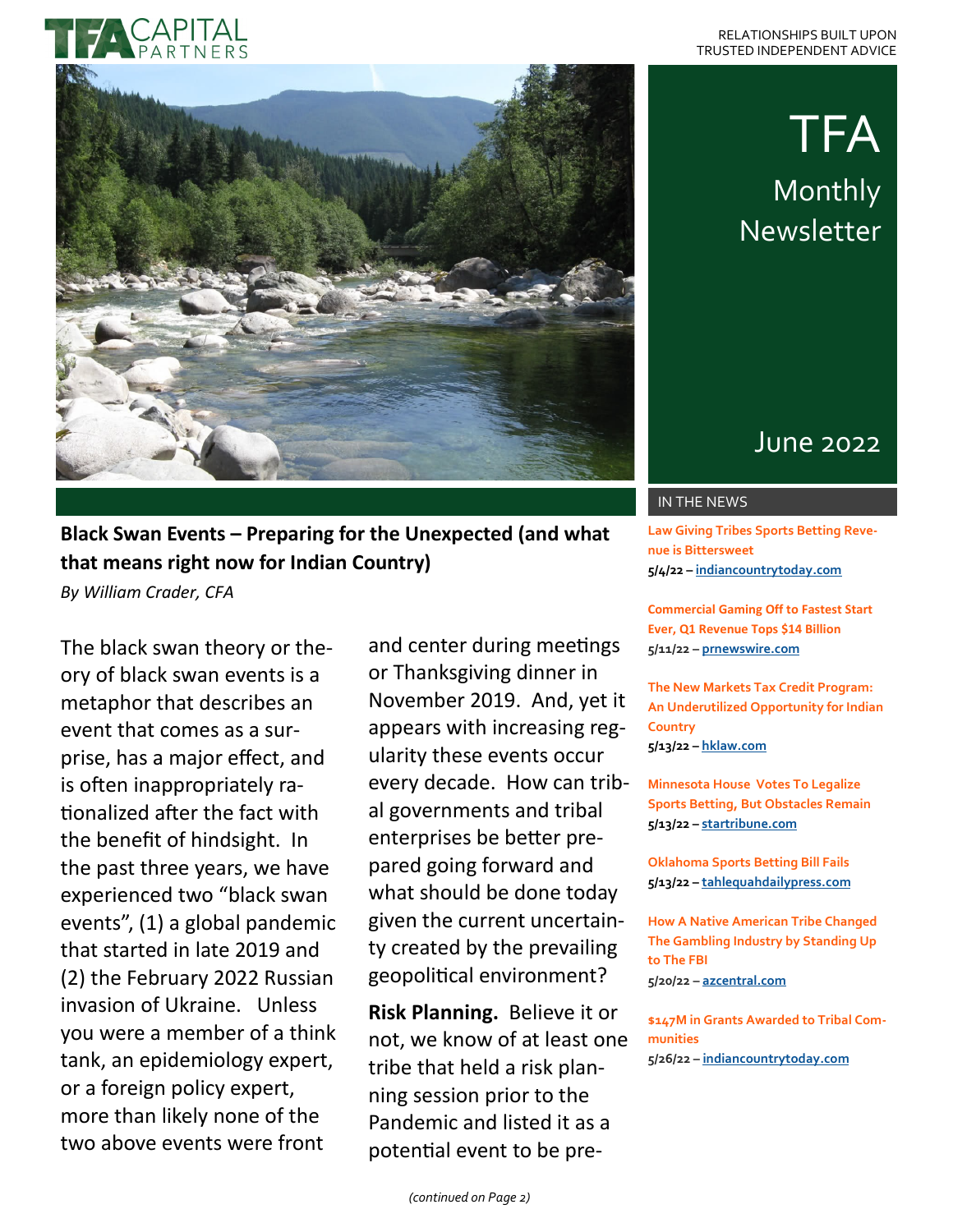# TFA Monthly Newsletter

## June 2022

#### IN THE NEWS

**Law Giving Tribes Sports Betting Revenue is Bittersweet 5/4/22 – [indiancountrytoday.com](https://indiancountrytoday.com/news/law-giving-tribes-sports-betting-revenue-is-bittersweet)**

**Commercial Gaming Off to Fastest Start Ever, Q1 Revenue Tops \$14 Billion 5/11/22 – [prnewswire.com](https://www.prnewswire.com/news-releases/commercial-gaming-off-to-fastest-start-ever-q1-revenue-tops-14-billion-301544573.html)**

**The New Markets Tax Credit Program: An Underutilized Opportunity for Indian Country 5/13/22 – [hklaw.com](https://www.hklaw.com/en/insights/publications/2022/05/the-new-markets-tax-credit-program)**

**Minnesota House Votes To Legalize Sports Betting, But Obstacles Remain 5/13/22 – [startribune.com](https://www.startribune.com/minnesota-sports-betting-approves-house-of-representatives-legislature-obstacles/600172834/)**

**Oklahoma Sports Betting Bill Fails 5/13/22 – [tahlequahdailypress.com](https://www.tahlequahdailypress.com/news/oklahoma-sports-betting-bill-fails/article_11f21e8b-2e20-5af1-aace-d5ef864e889d.html)**

**How A Native American Tribe Changed The Gambling Industry by Standing Up to The FBI 5/20/22 – [azcentral.com](https://www.azcentral.com/in-depth/news/local/scottsdale/2022/05/20/fort-mcdowell-yavapai-nation-arizona-gambling/9839162002/)**

**\$147M in Grants Awarded to Tribal Communities 5/26/22 – [indiancountrytoday.com](https://indiancountrytoday.com/news/hud-announced-95-million-in-grants-for-affordable-housing-and-52-million-for-community-development)**

### **Black Swan Events – Preparing for the Unexpected (and what that means right now for Indian Country)**

*By William Crader, CFA*

The black swan theory or theory of black swan events is a metaphor that describes an event that comes as a surprise, has a major effect, and is often inappropriately rationalized after the fact with the benefit of hindsight. In the past three years, we have experienced two "black swan events", (1) a global pandemic that started in late 2019 and (2) the February 2022 Russian invasion of Ukraine. Unless you were a member of a think tank, an epidemiology expert, or a foreign policy expert, more than likely none of the two above events were front

and center during meetings or Thanksgiving dinner in November 2019. And, yet it appears with increasing regularity these events occur every decade. How can tribal governments and tribal enterprises be better prepared going forward and what should be done today given the current uncertainty created by the prevailing geopolitical environment?

**Risk Planning.** Believe it or not, we know of at least one tribe that held a risk planning session prior to the Pandemic and listed it as a potential event to be pre-

*(continued on Page 2)*